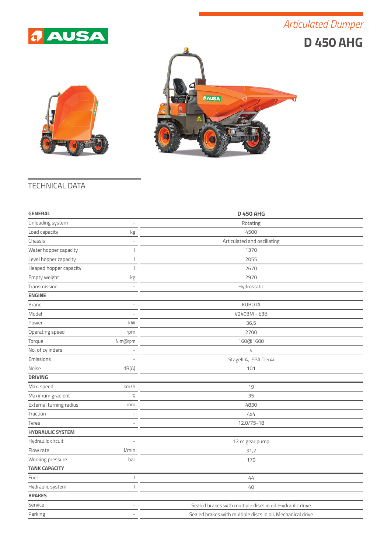## *Articulated Dumper*







## TECHNICAL DATA

| <b>GENERAL</b>          |                | <b>D 450 AHG</b>                                           |
|-------------------------|----------------|------------------------------------------------------------|
| Unloading system        | L,             | Rotating                                                   |
| Load capacity           | kg             | 4500                                                       |
| Chassis                 | L,             | Articulated and oscillating                                |
| Water hopper capacity   |                | 1370                                                       |
| Level hopper capacity   |                | 2055                                                       |
| Heaped hopper capacity  |                | 2670                                                       |
| Empty weight            | kg             | 2970                                                       |
| Transmission            |                | Hydrostatic                                                |
| <b>ENGINE</b>           |                |                                                            |
| <b>Brand</b>            | L,             | <b>KUBOTA</b>                                              |
| Model                   |                | V2403M - E3B                                               |
| Power                   | kW             | 36,5                                                       |
| Operating speed         | rpm            | 2700                                                       |
| Torque                  | N·m@rpm        | 160@1600                                                   |
| No. of cylinders        | ÷              | 4                                                          |
| Emissions               |                | StageIIIA, EPA Tier4i                                      |
| Noise                   | dB(A)          | 101                                                        |
| <b>DRIVING</b>          |                |                                                            |
| Max. speed              | km/h           | 19                                                         |
| Maximum gradient        | $\%$           | 35                                                         |
| External turning radius | mm             | 4830                                                       |
| Traction                |                | 4x4                                                        |
| Tyres                   | ۰              | 12.0/75-18                                                 |
| <b>HYDRAULIC SYSTEM</b> |                |                                                            |
| Hydraulic circuit       |                | 12 cc gear pump                                            |
| Flow rate               | l/min          | 31,2                                                       |
| Working pressure        | bar            | 170                                                        |
| <b>TANK CAPACITY</b>    |                |                                                            |
| Fuel                    |                | 44                                                         |
| Hydraulic system        |                | 40                                                         |
| <b>BRAKES</b>           |                |                                                            |
| Service                 | L.             | Sealed brakes with multiple discs in oil. Hydraulic drive  |
| Parking                 | $\overline{a}$ | Sealed brakes with multiple discs in oil. Mechanical drive |